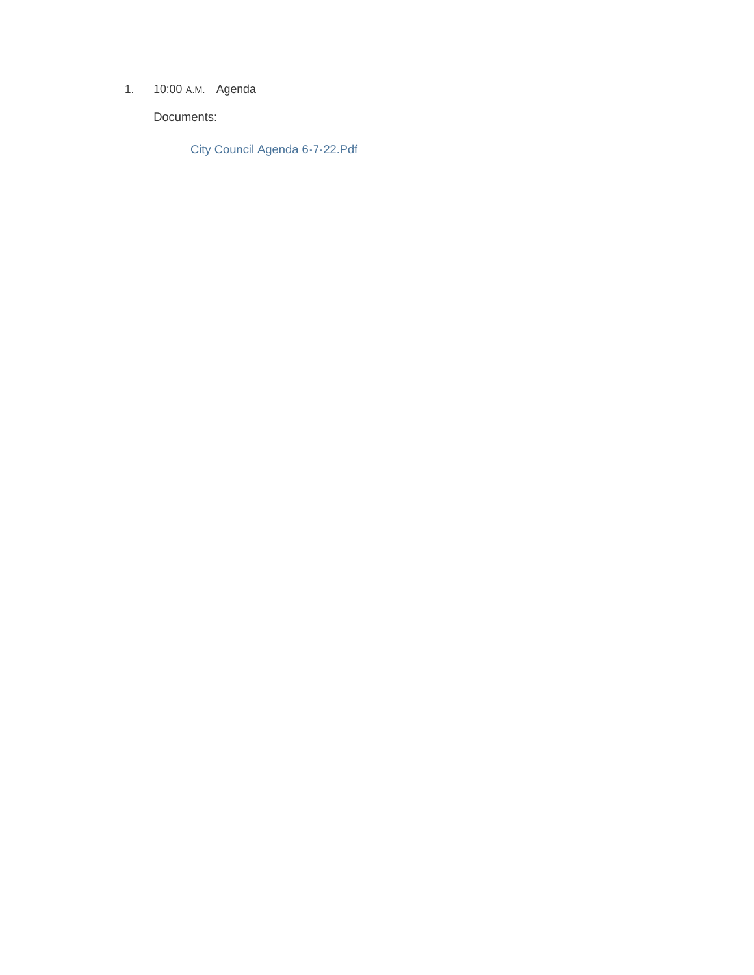1. 10:00 A.M. Agenda

Documents:

City Council Agenda 6-7-22.Pdf